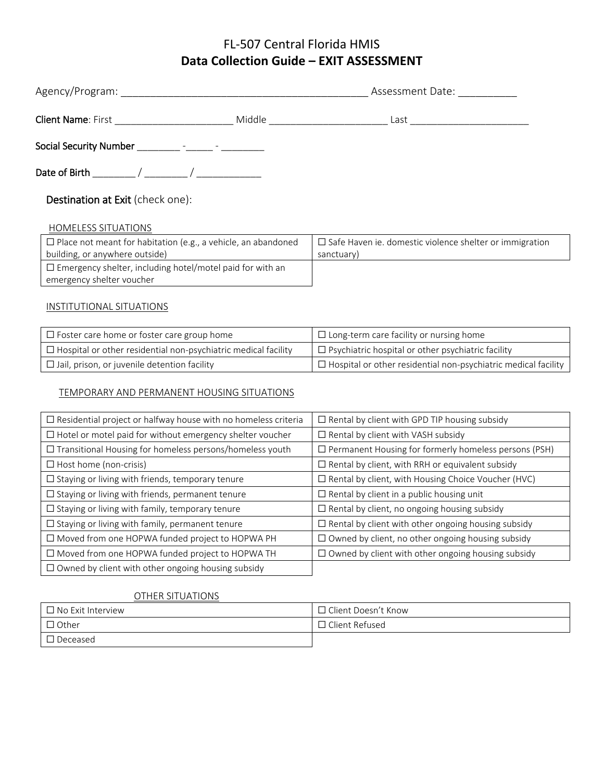# FL-507 Central Florida HMIS **Data Collection Guide – EXIT ASSESSMENT**

|                                                                                                                                                                                                                                                                                                       |  | Assessment Date: ___________                                   |
|-------------------------------------------------------------------------------------------------------------------------------------------------------------------------------------------------------------------------------------------------------------------------------------------------------|--|----------------------------------------------------------------|
|                                                                                                                                                                                                                                                                                                       |  |                                                                |
|                                                                                                                                                                                                                                                                                                       |  |                                                                |
| Date of Birth $\frac{1}{2}$ / $\frac{1}{2}$ / $\frac{1}{2}$ / $\frac{1}{2}$ / $\frac{1}{2}$ / $\frac{1}{2}$ / $\frac{1}{2}$ / $\frac{1}{2}$ / $\frac{1}{2}$ / $\frac{1}{2}$ / $\frac{1}{2}$ / $\frac{1}{2}$ / $\frac{1}{2}$ / $\frac{1}{2}$ / $\frac{1}{2}$ / $\frac{1}{2}$ / $\frac{1}{2}$ / $\frac$ |  |                                                                |
| <b>Destination at Exit (check one):</b>                                                                                                                                                                                                                                                               |  |                                                                |
| <b>HOMELESS SITUATIONS</b>                                                                                                                                                                                                                                                                            |  |                                                                |
| $\Box$ Place not meant for habitation (e.g., a vehicle, an abandoned                                                                                                                                                                                                                                  |  | $\Box$ Safe Haven ie. domestic violence shelter or immigration |
| building, or anywhere outside)                                                                                                                                                                                                                                                                        |  | sanctuary)                                                     |
| $\Box$ Emergency shelter, including hotel/motel paid for with an                                                                                                                                                                                                                                      |  |                                                                |
| emergency shelter voucher                                                                                                                                                                                                                                                                             |  |                                                                |
| INSTITUTIONAL SITUATIONS                                                                                                                                                                                                                                                                              |  |                                                                |

| $\Box$ Foster care home or foster care group home                     | $\Box$ Long-term care facility or nursing home                        |
|-----------------------------------------------------------------------|-----------------------------------------------------------------------|
| $\Box$ Hospital or other residential non-psychiatric medical facility | $\Box$ Psychiatric hospital or other psychiatric facility             |
| $\Box$ Jail, prison, or juvenile detention facility                   | $\Box$ Hospital or other residential non-psychiatric medical facility |

### TEMPORARY AND PERMANENT HOUSING SITUATIONS

| $\Box$ Residential project or halfway house with no homeless criteria | $\Box$ Rental by client with GPD TIP housing subsidy         |
|-----------------------------------------------------------------------|--------------------------------------------------------------|
| $\Box$ Hotel or motel paid for without emergency shelter voucher      | $\Box$ Rental by client with VASH subsidy                    |
| $\Box$ Transitional Housing for homeless persons/homeless youth       | $\Box$ Permanent Housing for formerly homeless persons (PSH) |
| $\Box$ Host home (non-crisis)                                         | $\Box$ Rental by client, with RRH or equivalent subsidy      |
| $\Box$ Staying or living with friends, temporary tenure               | $\Box$ Rental by client, with Housing Choice Voucher (HVC)   |
| $\Box$ Staying or living with friends, permanent tenure               | $\Box$ Rental by client in a public housing unit             |
| $\Box$ Staying or living with family, temporary tenure                | $\Box$ Rental by client, no ongoing housing subsidy          |
| $\Box$ Staying or living with family, permanent tenure                | $\Box$ Rental by client with other ongoing housing subsidy   |
| □ Moved from one HOPWA funded project to HOPWA PH                     | $\Box$ Owned by client, no other ongoing housing subsidy     |
| □ Moved from one HOPWA funded project to HOPWA TH                     | $\Box$ Owned by client with other ongoing housing subsidy    |
| $\Box$ Owned by client with other ongoing housing subsidy             |                                                              |

## OTHER SITUATIONS

| $\Box$ No Exit Interview | $\Box$ Client Doesn't Know |
|--------------------------|----------------------------|
| $\Box$ Other             | $\Box$ Client Refused      |
| $\Box$ Deceased          |                            |